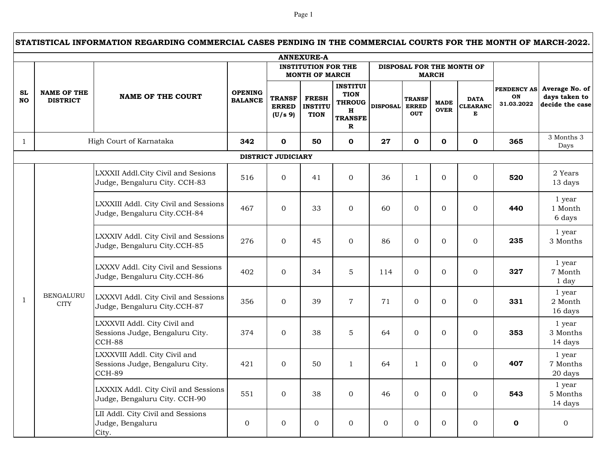## Page 1

|                                                                                                  | STATISTICAL INFORMATION REGARDING COMMERCIAL CASES PENDING IN THE COMMERCIAL COURTS FOR THE MONTH OF MARCH-2022. |                                                                            |                                  |                                          |                                               |                                                                                                 |                 |                                             |                            |                                     |                                        |                                                    |
|--------------------------------------------------------------------------------------------------|------------------------------------------------------------------------------------------------------------------|----------------------------------------------------------------------------|----------------------------------|------------------------------------------|-----------------------------------------------|-------------------------------------------------------------------------------------------------|-----------------|---------------------------------------------|----------------------------|-------------------------------------|----------------------------------------|----------------------------------------------------|
|                                                                                                  |                                                                                                                  |                                                                            |                                  |                                          | <b>ANNEXURE-A</b>                             |                                                                                                 |                 |                                             |                            |                                     |                                        |                                                    |
| <b>INSTITUTION FOR THE</b><br>DISPOSAL FOR THE MONTH OF<br><b>MONTH OF MARCH</b><br><b>MARCH</b> |                                                                                                                  |                                                                            |                                  |                                          |                                               |                                                                                                 |                 |                                             |                            |                                     |                                        |                                                    |
| <b>SL</b><br><b>NO</b>                                                                           | <b>NAME OF THE</b><br><b>DISTRICT</b>                                                                            | <b>NAME OF THE COURT</b>                                                   | <b>OPENING</b><br><b>BALANCE</b> | <b>TRANSF</b><br><b>ERRED</b><br>(U/s 9) | <b>FRESH</b><br><b>INSTITU</b><br><b>TION</b> | <b>INSTITUI</b><br><b>TION</b><br><b>THROUG</b><br>$\mathbf H$<br><b>TRANSFE</b><br>$\mathbf R$ | <b>DISPOSAL</b> | <b>TRANSF</b><br><b>ERRED</b><br><b>OUT</b> | <b>MADE</b><br><b>OVER</b> | <b>DATA</b><br><b>CLEARANC</b><br>Е | <b>PENDENCY AS</b><br>ON<br>31.03.2022 | Average No. of<br>days taken to<br>decide the case |
| 1                                                                                                |                                                                                                                  | High Court of Karnataka                                                    | 342                              | $\mathbf{o}$                             | 50                                            | $\mathbf 0$                                                                                     | 27              | $\mathbf{O}$                                | 0                          | $\mathbf 0$                         | 365                                    | 3 Months 3<br>Days                                 |
|                                                                                                  |                                                                                                                  |                                                                            |                                  | <b>DISTRICT JUDICIARY</b>                |                                               |                                                                                                 |                 |                                             |                            |                                     |                                        |                                                    |
|                                                                                                  |                                                                                                                  | LXXXII Addl.City Civil and Sesions<br>Judge, Bengaluru City. CCH-83        | 516                              | $\Omega$                                 | 41                                            | $\overline{0}$                                                                                  | 36              | $\mathbf{1}$                                | $\mathbf{0}$               | $\overline{0}$                      | 520                                    | 2 Years<br>13 days                                 |
|                                                                                                  |                                                                                                                  | LXXXIII Addl. City Civil and Sessions<br>Judge, Bengaluru City.CCH-84      | 467                              | $\overline{0}$                           | 33                                            | $\mathbf{0}$                                                                                    | 60              | $\overline{0}$                              | $\mathbf{0}$               | $\mathbf{0}$                        | 440                                    | 1 year<br>1 Month<br>6 days                        |
|                                                                                                  |                                                                                                                  | LXXXIV Addl. City Civil and Sessions<br>Judge, Bengaluru City.CCH-85       | 276                              | $\overline{0}$                           | 45                                            | $\mathbf{0}$                                                                                    | 86              | $\overline{0}$                              | $\Omega$                   | $\mathbf{0}$                        | 235                                    | 1 year<br>3 Months                                 |
|                                                                                                  |                                                                                                                  | LXXXV Addl. City Civil and Sessions<br>Judge, Bengaluru City.CCH-86        | 402                              | $\overline{0}$                           | 34                                            | $\overline{5}$                                                                                  | 114             | $\overline{0}$                              | $\mathbf{0}$               | $\mathbf{0}$                        | 327                                    | 1 year<br>7 Month<br>1 day                         |
| 1                                                                                                | <b>BENGALURU</b><br><b>CITY</b>                                                                                  | LXXXVI Addl. City Civil and Sessions<br>Judge, Bengaluru City.CCH-87       | 356                              | $\overline{0}$                           | 39                                            | $\overline{7}$                                                                                  | 71              | $\overline{0}$                              | $\mathbf{0}$               | $\overline{0}$                      | 331                                    | 1 year<br>2 Month<br>16 days                       |
|                                                                                                  |                                                                                                                  | LXXXVII Addl. City Civil and<br>Sessions Judge, Bengaluru City.<br>CCH-88  | 374                              | $\overline{0}$                           | 38                                            | $\overline{5}$                                                                                  | 64              | $\Omega$                                    | $\mathbf{0}$               | $\mathbf{0}$                        | 353                                    | 1 year<br>3 Months<br>14 days                      |
|                                                                                                  |                                                                                                                  | LXXXVIII Addl. City Civil and<br>Sessions Judge, Bengaluru City.<br>CCH-89 | 421                              | $\overline{0}$                           | 50                                            | $\mathbf{1}$                                                                                    | 64              | 1                                           | $\overline{0}$             | $\mathbf{0}$                        | 407                                    | 1 year<br>7 Months<br>20 days                      |
|                                                                                                  |                                                                                                                  | LXXXIX Addl. City Civil and Sessions<br>Judge, Bengaluru City. CCH-90      | 551                              | $\overline{0}$                           | 38                                            | $\mathbf{0}$                                                                                    | 46              | $\overline{0}$                              | $\Omega$                   | $\mathbf{0}$                        | 543                                    | 1 year<br>5 Months<br>14 days                      |
|                                                                                                  |                                                                                                                  | LII Addl. City Civil and Sessions<br>Judge, Bengaluru<br>City.             | 0                                | $\overline{0}$                           | $\overline{0}$                                | $\overline{0}$                                                                                  | $\mathbf{0}$    | $\overline{0}$                              | $\overline{0}$             | $\mathbf{0}$                        | $\mathbf 0$                            | $\overline{0}$                                     |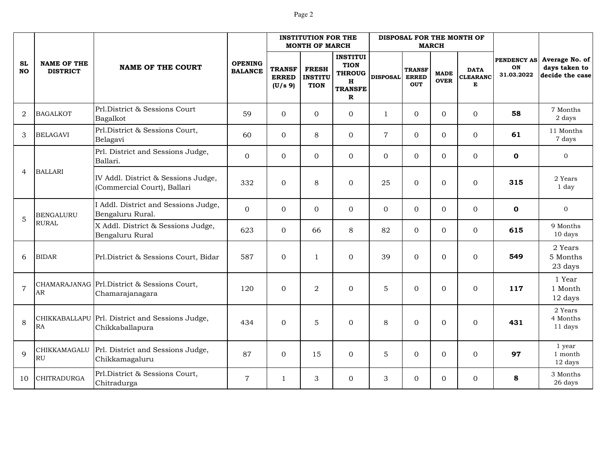|                        |                                       |                                                                    |                                  |                                          | <b>INSTITUTION FOR THE</b><br><b>MONTH OF MARCH</b> |                                                                                                  |                 | DISPOSAL FOR THE MONTH OF                   | <b>MARCH</b>               |                                     |                                                                                                                          |                                                    |
|------------------------|---------------------------------------|--------------------------------------------------------------------|----------------------------------|------------------------------------------|-----------------------------------------------------|--------------------------------------------------------------------------------------------------|-----------------|---------------------------------------------|----------------------------|-------------------------------------|--------------------------------------------------------------------------------------------------------------------------|----------------------------------------------------|
| <b>SL</b><br><b>NO</b> | <b>NAME OF THE</b><br><b>DISTRICT</b> | <b>NAME OF THE COURT</b>                                           | <b>OPENING</b><br><b>BALANCE</b> | <b>TRANSF</b><br><b>ERRED</b><br>(U/s 9) | <b>FRESH</b><br><b>INSTITU</b><br><b>TION</b>       | <b>INSTITUI</b><br><b>TION</b><br><b>THROUG</b><br>$\mathbf H$<br><b>TRANSFE</b><br>$\mathbf{R}$ | <b>DISPOSAL</b> | <b>TRANSF</b><br><b>ERRED</b><br><b>OUT</b> | <b>MADE</b><br><b>OVER</b> | <b>DATA</b><br><b>CLEARANC</b><br>Е | PENDENCY AS<br>ON<br>31.03.2022<br>58<br>61<br>$\mathbf 0$<br>315<br>$\mathbf{o}$<br>615<br>549<br>117<br>431<br>97<br>8 | Average No. of<br>days taken to<br>decide the case |
| $\overline{2}$         | <b>BAGALKOT</b>                       | Prl.District & Sessions Court<br>Bagalkot                          | 59                               | $\overline{0}$                           | $\Omega$                                            | $\Omega$                                                                                         | $\mathbf{1}$    | $\overline{0}$                              | $\overline{0}$             | $\mathbf 0$                         |                                                                                                                          | 7 Months<br>2 days                                 |
| 3                      | <b>BELAGAVI</b>                       | Prl.District & Sessions Court,<br>Belagavi                         | 60                               | $\mathbf{0}$                             | 8                                                   | $\mathbf{0}$                                                                                     | $\overline{7}$  | $\overline{0}$                              | $\Omega$                   | $\mathbf{0}$                        |                                                                                                                          | 11 Months<br>7 days                                |
|                        |                                       | Prl. District and Sessions Judge,<br>Ballari.                      | $\mathbf{0}$                     | $\mathbf{0}$                             | $\Omega$                                            | $\Omega$                                                                                         | $\Omega$        | $\Omega$                                    | $\Omega$                   | $\mathbf{0}$                        |                                                                                                                          | $\mathbf 0$                                        |
| $\overline{4}$         | <b>BALLARI</b>                        | IV Addl. District & Sessions Judge,<br>(Commercial Court), Ballari | 332                              | $\mathbf{0}$                             | 8                                                   | $\mathbf{0}$                                                                                     | 25              | $\Omega$                                    | $\overline{0}$             | $\mathbf{0}$                        |                                                                                                                          | 2 Years<br>1 day                                   |
| 5                      | <b>BENGALURU</b>                      | I Addl. District and Sessions Judge,<br>Bengaluru Rural.           | $\overline{0}$                   | $\overline{0}$                           | $\overline{0}$                                      | $\mathbf{0}$                                                                                     | $\overline{0}$  | $\overline{0}$                              | $\overline{0}$             | $\mathbf{0}$                        |                                                                                                                          | $\mathbf{0}$                                       |
|                        | <b>RURAL</b>                          | X Addl. District & Sessions Judge,<br>Bengaluru Rural              | 623                              | $\Omega$                                 | 66                                                  | 8                                                                                                | 82              | $\Omega$                                    | $\Omega$                   | $\mathbf 0$                         |                                                                                                                          | 9 Months<br>10 days                                |
| 6                      | <b>BIDAR</b>                          | Prl.District & Sessions Court, Bidar                               | 587                              | $\boldsymbol{0}$                         | $\mathbf{1}$                                        | $\mathbf{0}$                                                                                     | 39              | $\overline{0}$                              | $\Omega$                   | $\mathbf{0}$                        |                                                                                                                          | 2 Years<br>5 Months<br>23 days                     |
| $\overline{7}$         | ${\sf AR}$                            | CHAMARAJANAG Prl.District & Sessions Court,<br>Chamarajanagara     | 120                              | $\mathbf{0}$                             | 2                                                   | $\mathbf{0}$                                                                                     | 5               | $\Omega$                                    | $\Omega$                   | $\mathbf{0}$                        |                                                                                                                          | 1 Year<br>1 Month<br>12 days                       |
| 8                      | ${\sf RA}$                            | CHIKKABALLAPU Prl. District and Sessions Judge,<br>Chikkaballapura | 434                              | $\Omega$                                 | 5                                                   | $\mathbf{0}$                                                                                     | 8               | $\Omega$                                    | $\Omega$                   | $\mathbf{0}$                        |                                                                                                                          | 2 Years<br>4 Months<br>11 days                     |
| $\mathbf{Q}$           | CHIKKAMAGALU<br><b>RU</b>             | Prl. District and Sessions Judge,<br>Chikkamagaluru                | 87                               | $\mathbf{0}$                             | 15                                                  | $\mathbf{0}$                                                                                     | 5               | 0                                           | $\mathbf 0$                | $\boldsymbol{0}$                    |                                                                                                                          | 1 year<br>1 month<br>12 days                       |
| 10                     | <b>CHITRADURGA</b>                    | Prl.District & Sessions Court,<br>Chitradurga                      | $\mathbf 7$                      | 1                                        | 3                                                   | $\overline{0}$                                                                                   | 3               | $\overline{0}$                              | $\Omega$                   | $\mathbf{0}$                        |                                                                                                                          | 3 Months<br>26 days                                |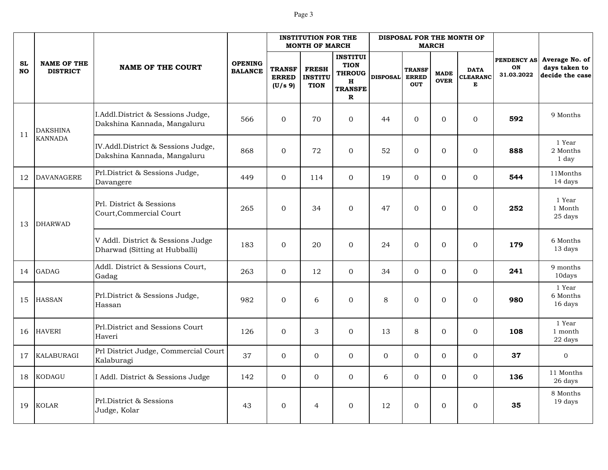|                        |                                       |                                                                    |                                  |                                          | <b>INSTITUTION FOR THE</b><br><b>MONTH OF MARCH</b> |                                                                                                 |                 | DISPOSAL FOR THE MONTH OF                   | <b>MARCH</b>               |                                     |                                                                                                            |                                                    |
|------------------------|---------------------------------------|--------------------------------------------------------------------|----------------------------------|------------------------------------------|-----------------------------------------------------|-------------------------------------------------------------------------------------------------|-----------------|---------------------------------------------|----------------------------|-------------------------------------|------------------------------------------------------------------------------------------------------------|----------------------------------------------------|
| <b>SL</b><br><b>NO</b> | <b>NAME OF THE</b><br><b>DISTRICT</b> | <b>NAME OF THE COURT</b>                                           | <b>OPENING</b><br><b>BALANCE</b> | <b>TRANSF</b><br><b>ERRED</b><br>(U/s 9) | <b>FRESH</b><br><b>INSTITU</b><br><b>TION</b>       | <b>INSTITUI</b><br><b>TION</b><br><b>THROUG</b><br>$\mathbf H$<br><b>TRANSFE</b><br>$\mathbf R$ | <b>DISPOSAL</b> | <b>TRANSF</b><br><b>ERRED</b><br><b>OUT</b> | <b>MADE</b><br><b>OVER</b> | <b>DATA</b><br><b>CLEARANC</b><br>Е | PENDENCY AS<br>ON<br>31.03.2022<br>592<br>888<br>544<br>252<br>179<br>241<br>980<br>108<br>37<br>136<br>35 | Average No. of<br>days taken to<br>decide the case |
| 11                     | <b>DAKSHINA</b>                       | I.Addl.District & Sessions Judge,<br>Dakshina Kannada, Mangaluru   | 566                              | $\Omega$                                 | 70                                                  | $\mathbf 0$                                                                                     | 44              | $\mathbf{0}$                                | $\overline{0}$             | $\Omega$                            |                                                                                                            | 9 Months                                           |
|                        | <b>KANNADA</b>                        | IV.Addl.District & Sessions Judge,<br>Dakshina Kannada, Mangaluru  | 868                              | $\Omega$                                 | 72                                                  | $\Omega$                                                                                        | 52              | $\Omega$                                    | $\Omega$                   | $\Omega$                            |                                                                                                            | 1 Year<br>2 Months<br>1 day                        |
| 12                     | <b>DAVANAGERE</b>                     | Prl.District & Sessions Judge,<br>Davangere                        | 449                              | $\overline{0}$                           | 114                                                 | $\mathbf{0}$                                                                                    | 19              | $\overline{0}$                              | $\overline{0}$             | $\Omega$                            |                                                                                                            | 11Months<br>14 days                                |
| 13                     | <b>DHARWAD</b>                        | Prl. District & Sessions<br>Court, Commercial Court                | 265                              | $\Omega$                                 | 34                                                  | $\overline{0}$                                                                                  | 47              | $\overline{0}$                              | $\mathbf{0}$               | $\Omega$                            |                                                                                                            | 1 Year<br>1 Month<br>25 days                       |
|                        |                                       | V Addl. District & Sessions Judge<br>Dharwad (Sitting at Hubballi) | 183                              | $\Omega$                                 | 20                                                  | $\overline{0}$                                                                                  | 24              | $\overline{0}$                              | $\overline{0}$             | $\Omega$                            |                                                                                                            | 6 Months<br>13 days                                |
| 14                     | <b>GADAG</b>                          | Addl. District & Sessions Court,<br>Gadag                          | 263                              | $\overline{0}$                           | 12                                                  | $\mathbf 0$                                                                                     | 34              | $\overline{0}$                              | $\mathbf{0}$               | $\mathbf{0}$                        |                                                                                                            | 9 months<br>10days                                 |
| 15                     | <b>HASSAN</b>                         | Prl.District & Sessions Judge,<br>Hassan                           | 982                              | $\Omega$                                 | 6                                                   | $\Omega$                                                                                        | 8               | 0                                           | $\Omega$                   | $\Omega$                            |                                                                                                            | 1 Year<br>6 Months<br>16 days                      |
| 16                     | <b>HAVERI</b>                         | Prl.District and Sessions Court<br>Haveri                          | 126                              | $\overline{0}$                           | 3                                                   | $\mathbf{0}$                                                                                    | 13              | 8                                           | $\Omega$                   | $\overline{0}$                      |                                                                                                            | 1 Year<br>1 month<br>22 days                       |
| 17                     | <b>KALABURAGI</b>                     | Prl District Judge, Commercial Court<br>Kalaburagi                 | 37                               | $\overline{0}$                           | $\Omega$                                            | $\mathbf{0}$                                                                                    | $\overline{0}$  | $\overline{0}$                              | $\Omega$                   | $\mathbf{0}$                        |                                                                                                            | $\mathbf 0$                                        |
| 18                     | KODAGU                                | I Addl. District & Sessions Judge                                  | 142                              | $\overline{0}$                           | $\overline{0}$                                      | $\mathbf{0}$                                                                                    | 6               | $\overline{O}$                              | $\mathbf{0}$               | $\mathbf{0}$                        |                                                                                                            | 11 Months<br>26 days                               |
| 19                     | <b>KOLAR</b>                          | Prl.District & Sessions<br>Judge, Kolar                            | 43                               | $\Omega$                                 | $\overline{4}$                                      | $\Omega$                                                                                        | 12              | $\Omega$                                    | $\Omega$                   | $\Omega$                            |                                                                                                            | 8 Months<br>19 days                                |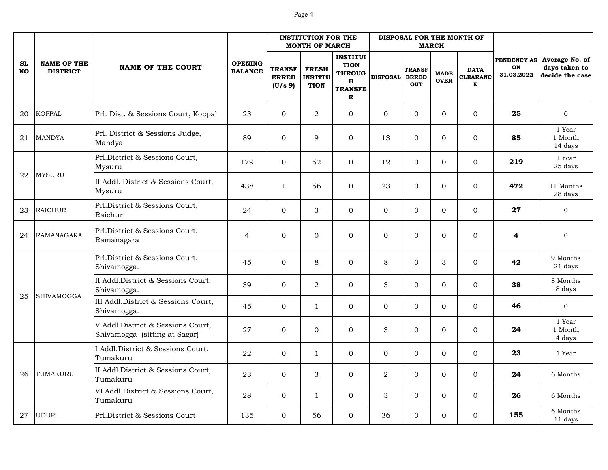|                        |                                       |                                                                    |                                  |                                          | <b>INSTITUTION FOR THE</b><br><b>MONTH OF MARCH</b> |                                                                                        |                 | DISPOSAL FOR THE MONTH OF                   | <b>MARCH</b>               |                                     |                                 |                                                    |
|------------------------|---------------------------------------|--------------------------------------------------------------------|----------------------------------|------------------------------------------|-----------------------------------------------------|----------------------------------------------------------------------------------------|-----------------|---------------------------------------------|----------------------------|-------------------------------------|---------------------------------|----------------------------------------------------|
| <b>SL</b><br><b>NO</b> | <b>NAME OF THE</b><br><b>DISTRICT</b> | <b>NAME OF THE COURT</b>                                           | <b>OPENING</b><br><b>BALANCE</b> | <b>TRANSF</b><br><b>ERRED</b><br>(U/s 9) | <b>FRESH</b><br><b>INSTITU</b><br><b>TION</b>       | <b>INSTITUI</b><br><b>TION</b><br><b>THROUG</b><br>H<br><b>TRANSFE</b><br>$\mathbf{R}$ | <b>DISPOSAL</b> | <b>TRANSF</b><br><b>ERRED</b><br><b>OUT</b> | <b>MADE</b><br><b>OVER</b> | <b>DATA</b><br><b>CLEARANC</b><br>E | PENDENCY AS<br>ON<br>31.03.2022 | Average No. of<br>days taken to<br>decide the case |
| 20                     | <b>KOPPAL</b>                         | Prl. Dist. & Sessions Court, Koppal                                | 23                               | $\Omega$                                 | $\overline{2}$                                      | $\Omega$                                                                               | $\Omega$        | $\Omega$                                    | $\Omega$                   | $\Omega$                            | 25                              | $\mathbf{0}$                                       |
| 21                     | <b>MANDYA</b>                         | Prl. District & Sessions Judge,<br>Mandya                          | 89                               | $\Omega$                                 | 9                                                   | $\mathbf{0}$                                                                           | 13              | $\overline{0}$                              | $\Omega$                   | $\mathbf{0}$                        | 85                              | 1 Year<br>1 Month<br>14 days                       |
|                        |                                       | Prl.District & Sessions Court,<br>Mysuru                           | 179                              | $\Omega$                                 | 52                                                  | $\Omega$                                                                               | 12              | $\overline{0}$                              | $\Omega$                   | $\Omega$                            | 219                             | 1 Year<br>25 days                                  |
| 22                     | <b>MYSURU</b>                         | II Addl. District & Sessions Court,<br>Mysuru                      | 438                              | $\mathbf{1}$                             | 56                                                  | $\Omega$                                                                               | 23              | $\overline{0}$                              | $\Omega$                   | $\Omega$                            | 472                             | 11 Months<br>28 days                               |
| 23                     | <b>RAICHUR</b>                        | Prl.District & Sessions Court,<br>Raichur                          | 24                               | $\Omega$                                 | 3                                                   | $\Omega$                                                                               | $\Omega$        | $\Omega$                                    | $\Omega$                   | $\Omega$                            | 27                              | $\overline{0}$                                     |
| 24                     | <b>RAMANAGARA</b>                     | Prl.District & Sessions Court,<br>Ramanagara                       | $\overline{4}$                   | $\mathbf{0}$                             | $\mathbf{0}$                                        | $\Omega$                                                                               | $\mathbf{0}$    | $\overline{0}$                              | $\Omega$                   | $\mathbf{0}$                        | 4                               | $\overline{0}$                                     |
|                        |                                       | Prl.District & Sessions Court,<br>Shivamogga.                      | 45                               | $\mathbf{0}$                             | 8                                                   | $\mathbf{0}$                                                                           | 8               | $\overline{0}$                              | 3                          | $\mathbf{0}$                        | 42                              | 9 Months<br>21 days                                |
|                        | <b>SHIVAMOGGA</b>                     | II Addl.District & Sessions Court,<br>Shivamogga.                  | 39                               | $\Omega$                                 | $\overline{2}$                                      | $\Omega$                                                                               | 3               | $\Omega$                                    | $\Omega$                   | $\Omega$                            | 38                              | 8 Months<br>8 days                                 |
| 25                     |                                       | III Addl.District & Sessions Court,<br>Shivamogga.                 | 45                               | $\mathbf{0}$                             | $\mathbf{1}$                                        | $\Omega$                                                                               | $\Omega$        | $\Omega$                                    | $\Omega$                   | $\Omega$                            | 46                              | $\mathbf{0}$                                       |
|                        |                                       | V Addl.District & Sessions Court,<br>Shivamogga (sitting at Sagar) | 27                               | $\mathbf{0}$                             | $\Omega$                                            | $\Omega$                                                                               | 3               | $\overline{0}$                              | $\Omega$                   | $\Omega$                            | 24                              | 1 Year<br>1 Month<br>4 days                        |
|                        |                                       | I Addl.District & Sessions Court,<br>Tumakuru                      | 22                               | $\mathbf{0}$                             | $\mathbf{1}$                                        | $\mathbf{0}$                                                                           | $\overline{0}$  | $\overline{0}$                              | $\overline{0}$             | $\mathbf{0}$                        | 23                              | 1 Year                                             |
| 26                     | TUMAKURU                              | II Addl.District & Sessions Court,<br>Tumakuru                     | 23                               | $\mathbf{0}$                             | 3                                                   | $\mathbf{0}$                                                                           | $\overline{a}$  | $\overline{0}$                              | $\Omega$                   | $\mathbf{0}$                        | 24                              | 6 Months                                           |
|                        |                                       | VI Addl.District & Sessions Court,<br>Tumakuru                     | 28                               | $\Omega$                                 | $\mathbf{1}$                                        | $\Omega$                                                                               | 3               | $\Omega$                                    | $\Omega$                   | $\Omega$                            | 26                              | 6 Months                                           |
| 27                     | <b>UDUPI</b>                          | Prl.District & Sessions Court                                      | 135                              | $\overline{0}$                           | 56                                                  | $\overline{0}$                                                                         | 36              | $\overline{0}$                              | $\Omega$                   | $\mathbf{0}$                        | 155                             | 6 Months<br>11 days                                |